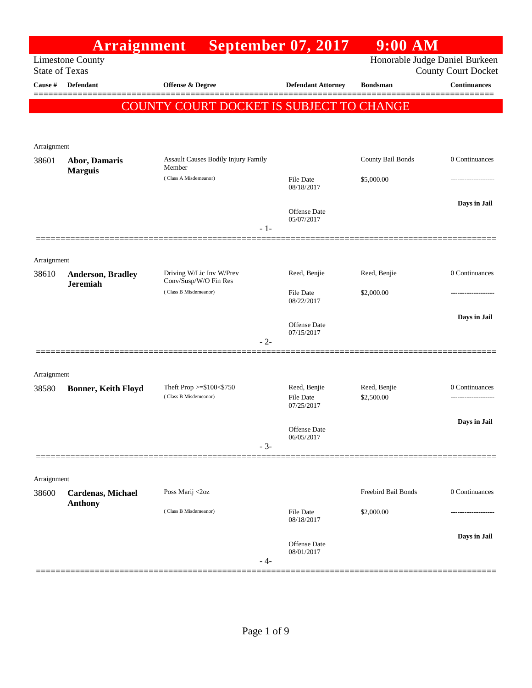|                       | <b>Arraignment</b>              |                                                   | <b>September 07, 2017</b>         | $9:00$ AM           |                                |
|-----------------------|---------------------------------|---------------------------------------------------|-----------------------------------|---------------------|--------------------------------|
|                       | <b>Limestone County</b>         |                                                   |                                   |                     | Honorable Judge Daniel Burkeen |
| <b>State of Texas</b> |                                 |                                                   |                                   |                     | <b>County Court Docket</b>     |
| <b>Cause</b> #        | <b>Defendant</b>                | Offense & Degree                                  | <b>Defendant Attorney</b>         | <b>Bondsman</b>     | <b>Continuances</b>            |
|                       |                                 | COUNTY COURT DOCKET IS SUBJECT TO CHANGE          |                                   |                     |                                |
|                       |                                 |                                                   |                                   |                     |                                |
|                       |                                 |                                                   |                                   |                     |                                |
| Arraignment           |                                 |                                                   |                                   |                     | 0 Continuances                 |
| 38601                 | Abor, Damaris<br><b>Marguis</b> | Assault Causes Bodily Injury Family<br>Member     |                                   | County Bail Bonds   |                                |
|                       |                                 | (Class A Misdemeanor)                             | File Date<br>08/18/2017           | \$5,000.00          |                                |
|                       |                                 |                                                   |                                   |                     | Days in Jail                   |
|                       |                                 |                                                   | Offense Date<br>05/07/2017        |                     |                                |
|                       |                                 | $-1-$                                             |                                   |                     |                                |
|                       |                                 |                                                   |                                   |                     |                                |
| Arraignment           |                                 |                                                   |                                   |                     |                                |
| 38610                 | Anderson, Bradley               | Driving W/Lic Inv W/Prev<br>Conv/Susp/W/O Fin Res | Reed, Benjie                      | Reed, Benjie        | 0 Continuances                 |
|                       | <b>Jeremiah</b>                 | (Class B Misdemeanor)                             | File Date                         | \$2,000.00          |                                |
|                       |                                 |                                                   | 08/22/2017                        |                     |                                |
|                       |                                 |                                                   | Offense Date                      |                     | Days in Jail                   |
|                       |                                 | $-2-$                                             | 07/15/2017                        |                     |                                |
|                       |                                 |                                                   |                                   |                     |                                |
|                       |                                 |                                                   |                                   |                     |                                |
| Arraignment<br>38580  | <b>Bonner, Keith Floyd</b>      | Theft Prop >=\$100<\$750                          | Reed, Benjie                      | Reed, Benjie        | 0 Continuances                 |
|                       |                                 | (Class B Misdemeanor)                             | File Date                         | \$2,500.00          |                                |
|                       |                                 |                                                   | 07/25/2017                        |                     |                                |
|                       |                                 |                                                   | Offense Date                      |                     | Days in Jail                   |
|                       |                                 | $-3-$                                             | 06/05/2017                        |                     |                                |
|                       |                                 |                                                   |                                   |                     |                                |
| Arraignment           |                                 |                                                   |                                   |                     |                                |
| 38600                 | Cardenas, Michael               | Poss Marij <2oz                                   |                                   | Freebird Bail Bonds | 0 Continuances                 |
|                       | <b>Anthony</b>                  | (Class B Misdemeanor)                             | File Date                         | \$2,000.00          |                                |
|                       |                                 |                                                   | 08/18/2017                        |                     |                                |
|                       |                                 |                                                   |                                   |                     | Days in Jail                   |
|                       |                                 |                                                   | <b>Offense</b> Date<br>08/01/2017 |                     |                                |
|                       |                                 | - 4-                                              |                                   |                     |                                |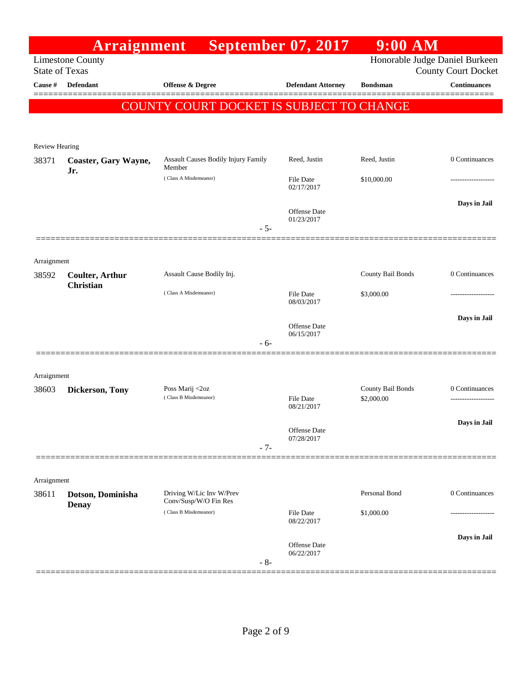|                                  | <b>Arraignment</b>                         | <b>Service Service</b>                            | <b>September 07, 2017</b>         | $9:00$ AM                      |                                                   |
|----------------------------------|--------------------------------------------|---------------------------------------------------|-----------------------------------|--------------------------------|---------------------------------------------------|
|                                  | <b>Limestone County</b>                    |                                                   |                                   | Honorable Judge Daniel Burkeen |                                                   |
| <b>State of Texas</b><br>Cause # | Defendant                                  | Offense & Degree                                  | <b>Defendant Attorney</b>         | <b>Bondsman</b>                | <b>County Court Docket</b><br><b>Continuances</b> |
|                                  |                                            |                                                   |                                   |                                |                                                   |
|                                  |                                            | COUNTY COURT DOCKET IS SUBJECT TO CHANGE          |                                   |                                |                                                   |
|                                  |                                            |                                                   |                                   |                                |                                                   |
| <b>Review Hearing</b>            |                                            |                                                   |                                   |                                |                                                   |
| 38371                            | Coaster, Gary Wayne,                       | Assault Causes Bodily Injury Family               | Reed, Justin                      | Reed, Justin                   | 0 Continuances                                    |
|                                  | Jr.                                        | Member<br>(Class A Misdemeanor)                   | <b>File Date</b>                  | \$10,000.00                    |                                                   |
|                                  |                                            |                                                   | 02/17/2017                        |                                |                                                   |
|                                  |                                            |                                                   | Offense Date<br>01/23/2017        |                                | Days in Jail                                      |
|                                  |                                            | $-5-$                                             |                                   |                                |                                                   |
|                                  |                                            |                                                   |                                   |                                |                                                   |
| Arraignment                      |                                            |                                                   |                                   |                                |                                                   |
| 38592                            | <b>Coulter, Arthur</b><br><b>Christian</b> | Assault Cause Bodily Inj.                         |                                   | County Bail Bonds              | 0 Continuances                                    |
|                                  |                                            | (Class A Misdemeanor)                             | <b>File Date</b><br>08/03/2017    | \$3,000.00                     |                                                   |
|                                  |                                            |                                                   |                                   |                                | Days in Jail                                      |
|                                  |                                            |                                                   | Offense Date<br>06/15/2017        |                                |                                                   |
|                                  |                                            | $-6-$                                             |                                   |                                |                                                   |
|                                  |                                            |                                                   |                                   |                                |                                                   |
| Arraignment<br>38603             | <b>Dickerson, Tony</b>                     | Poss Marij <2oz                                   |                                   | County Bail Bonds              | 0 Continuances                                    |
|                                  |                                            | (Class B Misdemeanor)                             | <b>File Date</b><br>08/21/2017    | \$2,000.00                     |                                                   |
|                                  |                                            |                                                   |                                   |                                | Days in Jail                                      |
|                                  |                                            |                                                   | Offense Date<br>07/28/2017        |                                |                                                   |
|                                  |                                            | $-7-$                                             |                                   |                                |                                                   |
|                                  |                                            |                                                   |                                   |                                |                                                   |
| Arraignment                      |                                            |                                                   |                                   |                                |                                                   |
| 38611                            | Dotson, Dominisha<br><b>Denay</b>          | Driving W/Lic Inv W/Prev<br>Conv/Susp/W/O Fin Res |                                   | Personal Bond                  | 0 Continuances                                    |
|                                  |                                            | (Class B Misdemeanor)                             | <b>File Date</b><br>08/22/2017    | \$1,000.00                     |                                                   |
|                                  |                                            |                                                   |                                   |                                | Days in Jail                                      |
|                                  |                                            | $-8-$                                             | <b>Offense</b> Date<br>06/22/2017 |                                |                                                   |
|                                  |                                            |                                                   |                                   |                                |                                                   |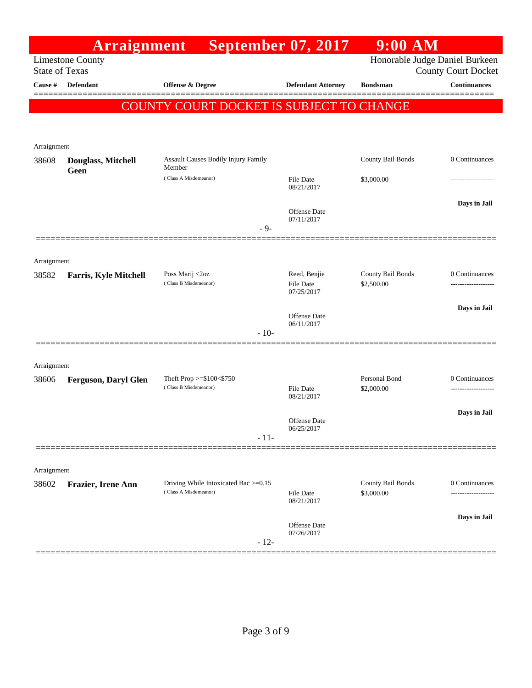|                       | <b>Arraignment</b>           | <b>September 07, 2017</b>                                     |                                   | $9:00$ AM                       |                            |
|-----------------------|------------------------------|---------------------------------------------------------------|-----------------------------------|---------------------------------|----------------------------|
| <b>State of Texas</b> | <b>Limestone County</b>      |                                                               |                                   | Honorable Judge Daniel Burkeen  | <b>County Court Docket</b> |
| Cause $\#$            | <b>Defendant</b>             | <b>Offense &amp; Degree</b>                                   | <b>Defendant Attorney</b>         | <b>Bondsman</b>                 | <b>Continuances</b>        |
|                       |                              | COUNTY COURT DOCKET IS SUBJECT TO CHANGE                      |                                   |                                 |                            |
|                       |                              |                                                               |                                   |                                 |                            |
|                       |                              |                                                               |                                   |                                 |                            |
| Arraignment           |                              |                                                               |                                   |                                 |                            |
| 38608                 | Douglass, Mitchell<br>Geen   | Assault Causes Bodily Injury Family<br>Member                 |                                   | County Bail Bonds               | 0 Continuances             |
|                       |                              | (Class A Misdemeanor)                                         | <b>File Date</b><br>08/21/2017    | \$3,000.00                      |                            |
|                       |                              |                                                               |                                   |                                 | Days in Jail               |
|                       |                              |                                                               | <b>Offense</b> Date<br>07/11/2017 |                                 |                            |
|                       |                              | $-9-$                                                         |                                   |                                 |                            |
|                       |                              |                                                               |                                   |                                 |                            |
| Arraignment           |                              |                                                               |                                   |                                 |                            |
| 38582                 | <b>Farris, Kyle Mitchell</b> | Poss Marij <2oz<br>(Class B Misdemeanor)                      | Reed, Benjie<br><b>File Date</b>  | County Bail Bonds<br>\$2,500.00 | 0 Continuances             |
|                       |                              |                                                               | 07/25/2017                        |                                 |                            |
|                       |                              |                                                               | <b>Offense Date</b>               |                                 | Days in Jail               |
|                       |                              | $-10-$                                                        | 06/11/2017                        |                                 |                            |
|                       |                              |                                                               |                                   |                                 |                            |
| Arraignment           |                              |                                                               |                                   |                                 |                            |
| 38606                 | <b>Ferguson, Daryl Glen</b>  | Theft Prop $>= $100 < $750$                                   |                                   | Personal Bond                   | 0 Continuances             |
|                       |                              | (Class B Misdemeanor)                                         | <b>File Date</b><br>08/21/2017    | \$2,000.00                      |                            |
|                       |                              |                                                               |                                   |                                 | Days in Jail               |
|                       |                              |                                                               | <b>Offense Date</b><br>06/25/2017 |                                 |                            |
|                       |                              | $-11-$                                                        |                                   |                                 |                            |
|                       |                              |                                                               |                                   |                                 |                            |
| Arraignment           |                              |                                                               |                                   |                                 |                            |
| 38602                 | Frazier, Irene Ann           | Driving While Intoxicated Bac >=0.15<br>(Class A Misdemeanor) | <b>File Date</b>                  | County Bail Bonds<br>\$3,000.00 | 0 Continuances             |
|                       |                              |                                                               | 08/21/2017                        |                                 |                            |
|                       |                              |                                                               | Offense Date                      |                                 | Days in Jail               |
|                       |                              | $-12-$                                                        | 07/26/2017                        |                                 |                            |
|                       |                              |                                                               |                                   |                                 |                            |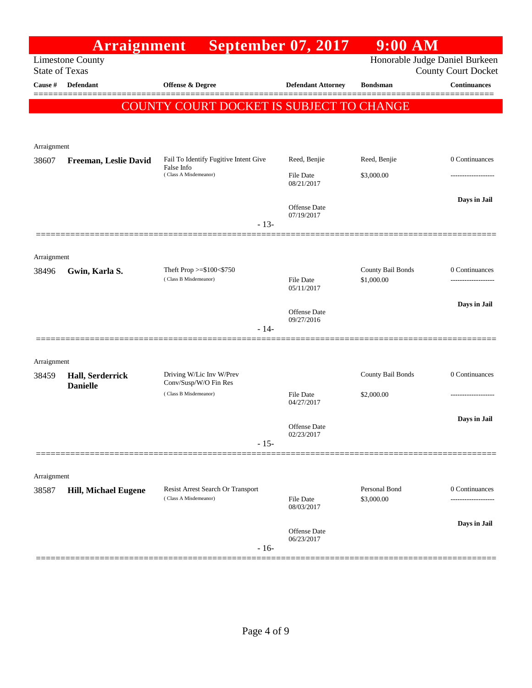|                       | <b>Arraignment</b>          |                                                            | <b>September 07, 2017</b>         | $9:00$ AM                   |                                |
|-----------------------|-----------------------------|------------------------------------------------------------|-----------------------------------|-----------------------------|--------------------------------|
|                       | <b>Limestone County</b>     |                                                            |                                   |                             | Honorable Judge Daniel Burkeen |
| <b>State of Texas</b> |                             |                                                            |                                   |                             | <b>County Court Docket</b>     |
| Cause #               | Defendant                   | Offense & Degree                                           | <b>Defendant Attorney</b>         | <b>Bondsman</b>             | <b>Continuances</b>            |
|                       |                             | COUNTY COURT DOCKET IS SUBJECT TO CHANGE                   |                                   |                             |                                |
|                       |                             |                                                            |                                   |                             |                                |
|                       |                             |                                                            |                                   |                             |                                |
| Arraignment           |                             |                                                            |                                   |                             |                                |
| 38607                 | Freeman, Leslie David       | Fail To Identify Fugitive Intent Give<br>False Info        | Reed, Benjie                      | Reed, Benjie                | 0 Continuances                 |
|                       |                             | (Class A Misdemeanor)                                      | <b>File Date</b><br>08/21/2017    | \$3,000.00                  |                                |
|                       |                             |                                                            |                                   |                             | Days in Jail                   |
|                       |                             |                                                            | <b>Offense Date</b><br>07/19/2017 |                             |                                |
|                       |                             | $-13-$                                                     |                                   |                             |                                |
|                       |                             |                                                            |                                   |                             |                                |
| Arraignment           |                             |                                                            |                                   |                             |                                |
| 38496                 | Gwin, Karla S.              | Theft Prop $>= $100 < $750$                                |                                   | County Bail Bonds           | 0 Continuances                 |
|                       |                             | (Class B Misdemeanor)                                      | <b>File Date</b><br>05/11/2017    | \$1,000.00                  |                                |
|                       |                             |                                                            |                                   |                             | Days in Jail                   |
|                       |                             |                                                            | Offense Date<br>09/27/2016        |                             |                                |
|                       |                             | $-14-$                                                     |                                   |                             |                                |
|                       |                             |                                                            |                                   |                             |                                |
| Arraignment           |                             |                                                            |                                   |                             |                                |
| 38459                 | Hall, Serderrick            | Driving W/Lic Inv W/Prev                                   |                                   | County Bail Bonds           | 0 Continuances                 |
|                       | <b>Danielle</b>             | Conv/Susp/W/O Fin Res<br>(Class B Misdemeanor)             | <b>File Date</b>                  | \$2,000.00                  |                                |
|                       |                             |                                                            | 04/27/2017                        |                             |                                |
|                       |                             |                                                            |                                   |                             | Days in Jail                   |
|                       |                             |                                                            | Offense Date<br>02/23/2017        |                             |                                |
|                       |                             | $-15-$                                                     |                                   |                             |                                |
|                       |                             |                                                            |                                   |                             |                                |
| Arraignment           |                             |                                                            |                                   |                             |                                |
| 38587                 | <b>Hill, Michael Eugene</b> | Resist Arrest Search Or Transport<br>(Class A Misdemeanor) | File Date                         | Personal Bond<br>\$3,000.00 | 0 Continuances                 |
|                       |                             |                                                            | 08/03/2017                        |                             |                                |
|                       |                             |                                                            |                                   |                             | Days in Jail                   |
|                       |                             |                                                            | Offense Date<br>06/23/2017        |                             |                                |
|                       |                             | $-16-$                                                     |                                   |                             |                                |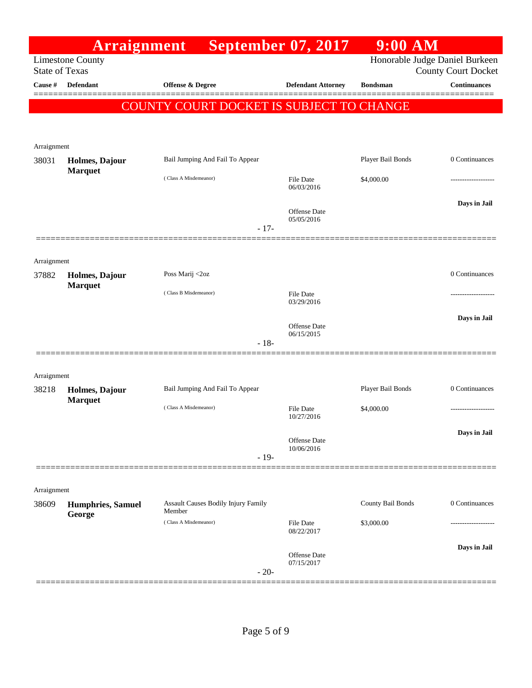|                       | Arraignment              |                                               | <b>September 07, 2017</b> | $9:00$ AM         |                                                   |
|-----------------------|--------------------------|-----------------------------------------------|---------------------------|-------------------|---------------------------------------------------|
| <b>State of Texas</b> | <b>Limestone County</b>  |                                               |                           |                   | Honorable Judge Daniel Burkeen                    |
| Cause #               | <b>Defendant</b>         | <b>Offense &amp; Degree</b>                   | <b>Defendant Attorney</b> | <b>Bondsman</b>   | <b>County Court Docket</b><br><b>Continuances</b> |
|                       |                          |                                               |                           |                   |                                                   |
|                       |                          | COUNTY COURT DOCKET IS SUBJECT TO CHANGE      |                           |                   |                                                   |
|                       |                          |                                               |                           |                   |                                                   |
| Arraignment           |                          |                                               |                           |                   |                                                   |
| 38031                 | Holmes, Dajour           | Bail Jumping And Fail To Appear               |                           | Player Bail Bonds | 0 Continuances                                    |
|                       | <b>Marquet</b>           | (Class A Misdemeanor)                         | <b>File Date</b>          | \$4,000.00        |                                                   |
|                       |                          |                                               | 06/03/2016                |                   |                                                   |
|                       |                          |                                               | Offense Date              |                   | Days in Jail                                      |
|                       |                          | $-17-$                                        | 05/05/2016                |                   |                                                   |
|                       |                          |                                               |                           |                   |                                                   |
| Arraignment           |                          |                                               |                           |                   |                                                   |
| 37882                 | Holmes, Dajour           | Poss Marij <2oz                               |                           |                   | 0 Continuances                                    |
|                       | <b>Marquet</b>           | (Class B Misdemeanor)                         | <b>File Date</b>          |                   |                                                   |
|                       |                          |                                               | 03/29/2016                |                   |                                                   |
|                       |                          |                                               | Offense Date              |                   | Days in Jail                                      |
|                       |                          | $-18-$                                        | 06/15/2015                |                   |                                                   |
|                       |                          |                                               |                           |                   |                                                   |
| Arraignment           |                          |                                               |                           |                   |                                                   |
| 38218                 | Holmes, Dajour           | Bail Jumping And Fail To Appear               |                           | Player Bail Bonds | 0 Continuances                                    |
|                       | <b>Marquet</b>           | (Class A Misdemeanor)                         | <b>File Date</b>          | \$4,000.00        |                                                   |
|                       |                          |                                               | 10/27/2016                |                   |                                                   |
|                       |                          |                                               | Offense Date              |                   | Days in Jail                                      |
|                       |                          | $-19-$                                        | 10/06/2016                |                   |                                                   |
|                       |                          |                                               |                           |                   |                                                   |
| Arraignment           |                          |                                               |                           |                   |                                                   |
| 38609                 | <b>Humphries, Samuel</b> | Assault Causes Bodily Injury Family<br>Member |                           | County Bail Bonds | 0 Continuances                                    |
|                       | George                   | (Class A Misdemeanor)                         | File Date                 | \$3,000.00        |                                                   |
|                       |                          |                                               | 08/22/2017                |                   |                                                   |
|                       |                          |                                               | Offense Date              |                   | Days in Jail                                      |
|                       |                          | $-20-$                                        | 07/15/2017                |                   |                                                   |
|                       |                          |                                               |                           |                   |                                                   |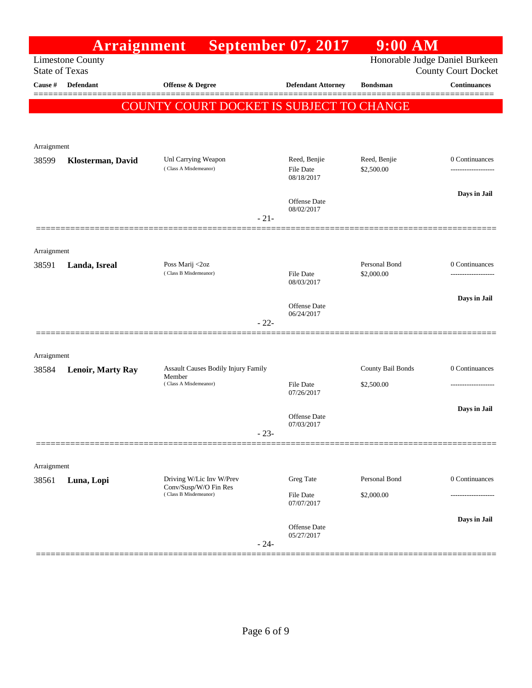|                       | Arraignment              |                                                                        |        | <b>September 07, 2017</b>               | $9:00$ AM                       |                                                              |
|-----------------------|--------------------------|------------------------------------------------------------------------|--------|-----------------------------------------|---------------------------------|--------------------------------------------------------------|
| <b>State of Texas</b> | <b>Limestone County</b>  |                                                                        |        |                                         |                                 | Honorable Judge Daniel Burkeen<br><b>County Court Docket</b> |
| Cause $\#$            | <b>Defendant</b>         | <b>Offense &amp; Degree</b>                                            |        | <b>Defendant Attorney</b>               | <b>Bondsman</b>                 | <b>Continuances</b>                                          |
|                       |                          | COUNTY COURT DOCKET IS SUBJECT TO CHANGE                               |        |                                         |                                 |                                                              |
|                       |                          |                                                                        |        |                                         |                                 |                                                              |
| Arraignment           |                          |                                                                        |        |                                         |                                 |                                                              |
| 38599                 | Klosterman, David        | Unl Carrying Weapon<br>(Class A Misdemeanor)                           |        | Reed, Benjie<br>File Date<br>08/18/2017 | Reed, Benjie<br>\$2,500.00      | 0 Continuances                                               |
|                       |                          |                                                                        |        | Offense Date                            |                                 | Days in Jail                                                 |
|                       |                          |                                                                        | $-21-$ | 08/02/2017                              |                                 |                                                              |
|                       |                          |                                                                        |        |                                         |                                 |                                                              |
| Arraignment<br>38591  | Landa, Isreal            | Poss Marij <2oz                                                        |        |                                         | Personal Bond                   | 0 Continuances                                               |
|                       |                          | (Class B Misdemeanor)                                                  |        | <b>File Date</b><br>08/03/2017          | \$2,000.00                      | -------------                                                |
|                       |                          |                                                                        |        |                                         |                                 | Days in Jail                                                 |
|                       |                          |                                                                        | $-22-$ | <b>Offense Date</b><br>06/24/2017       |                                 |                                                              |
|                       |                          |                                                                        |        |                                         |                                 |                                                              |
| Arraignment           |                          |                                                                        |        |                                         |                                 |                                                              |
| 38584                 | <b>Lenoir, Marty Ray</b> | Assault Causes Bodily Injury Family<br>Member<br>(Class A Misdemeanor) |        | File Date                               | County Bail Bonds<br>\$2,500.00 | 0 Continuances                                               |
|                       |                          |                                                                        |        | 07/26/2017                              |                                 |                                                              |
|                       |                          |                                                                        |        | Offense Date<br>07/03/2017              |                                 | Days in Jail                                                 |
|                       |                          |                                                                        | $-23-$ |                                         |                                 |                                                              |
| Arraignment           |                          |                                                                        |        |                                         |                                 |                                                              |
| 38561                 | Luna, Lopi               | Driving W/Lic Inv W/Prev                                               |        | Greg Tate                               | Personal Bond                   | 0 Continuances                                               |
|                       |                          | Conv/Susp/W/O Fin Res<br>(Class B Misdemeanor)                         |        | <b>File Date</b><br>07/07/2017          | \$2,000.00                      | ----------------                                             |
|                       |                          |                                                                        | $-24-$ | Offense Date<br>05/27/2017              |                                 | Days in Jail                                                 |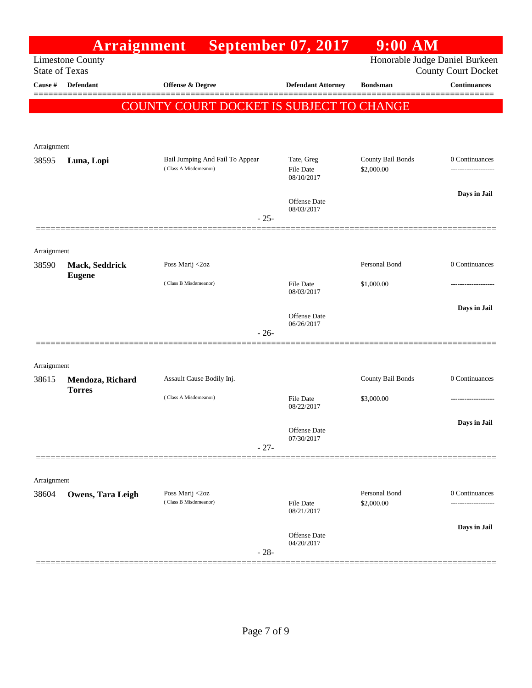|                       | Arraignment                       |                                                          | <b>September 07, 2017</b>                    | $9:00$ AM                       |                                                              |
|-----------------------|-----------------------------------|----------------------------------------------------------|----------------------------------------------|---------------------------------|--------------------------------------------------------------|
| <b>State of Texas</b> | <b>Limestone County</b>           |                                                          |                                              |                                 | Honorable Judge Daniel Burkeen<br><b>County Court Docket</b> |
| Cause #               | <b>Defendant</b>                  | <b>Offense &amp; Degree</b>                              | <b>Defendant Attorney</b>                    | <b>Bondsman</b>                 | <b>Continuances</b>                                          |
|                       |                                   | COUNTY COURT DOCKET IS SUBJECT TO CHANGE                 |                                              |                                 |                                                              |
| Arraignment           |                                   |                                                          |                                              |                                 |                                                              |
| 38595                 | Luna, Lopi                        | Bail Jumping And Fail To Appear<br>(Class A Misdemeanor) | Tate, Greg<br><b>File Date</b><br>08/10/2017 | County Bail Bonds<br>\$2,000.00 | 0 Continuances<br>                                           |
|                       |                                   | $-25-$                                                   | <b>Offense Date</b><br>08/03/2017            |                                 | Days in Jail                                                 |
| Arraignment           |                                   |                                                          |                                              |                                 |                                                              |
| 38590                 | Mack, Seddrick                    | Poss Marij <2oz                                          |                                              | Personal Bond                   | 0 Continuances                                               |
|                       | <b>Eugene</b>                     | (Class B Misdemeanor)                                    | <b>File Date</b><br>08/03/2017               | \$1,000.00                      |                                                              |
|                       |                                   |                                                          | <b>Offense Date</b><br>06/26/2017            |                                 | Days in Jail                                                 |
|                       |                                   | $-26-$                                                   |                                              |                                 |                                                              |
| Arraignment           |                                   |                                                          |                                              |                                 |                                                              |
| 38615                 | Mendoza, Richard<br><b>Torres</b> | Assault Cause Bodily Inj.                                |                                              | <b>County Bail Bonds</b>        | 0 Continuances                                               |
|                       |                                   | (Class A Misdemeanor)                                    | <b>File Date</b><br>08/22/2017               | \$3,000.00                      |                                                              |
|                       |                                   | $-27-$                                                   | Offense Date<br>07/30/2017                   |                                 | Days in Jail                                                 |
|                       |                                   |                                                          |                                              |                                 |                                                              |
| Arraignment           |                                   |                                                          |                                              |                                 |                                                              |
| 38604                 | Owens, Tara Leigh                 | Poss Marij <2oz<br>(Class B Misdemeanor)                 | <b>File Date</b><br>08/21/2017               | Personal Bond<br>\$2,000.00     | 0 Continuances<br>-------------                              |
|                       |                                   | $-28-$                                                   | <b>Offense Date</b><br>04/20/2017            |                                 | Days in Jail                                                 |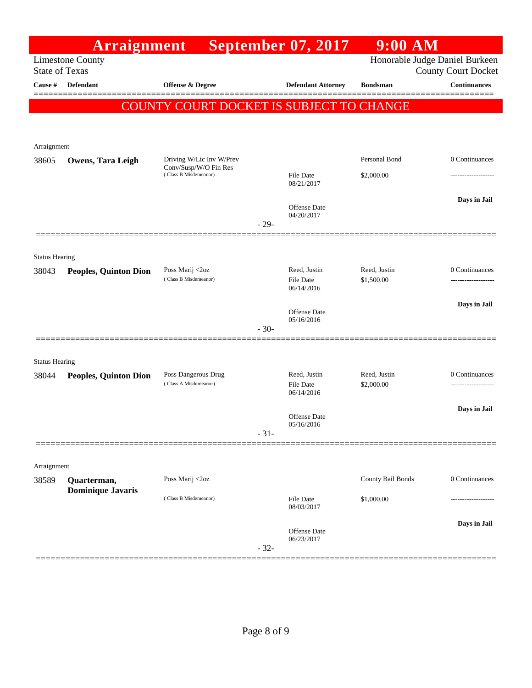|                       | Arraignment                  |                                                   |        | <b>September 07, 2017</b>         | $9:00$ AM                  |                                                              |
|-----------------------|------------------------------|---------------------------------------------------|--------|-----------------------------------|----------------------------|--------------------------------------------------------------|
| <b>State of Texas</b> | <b>Limestone County</b>      |                                                   |        |                                   |                            | Honorable Judge Daniel Burkeen<br><b>County Court Docket</b> |
| Cause #               | Defendant                    | <b>Offense &amp; Degree</b>                       |        | <b>Defendant Attorney</b>         | <b>Bondsman</b>            | <b>Continuances</b>                                          |
|                       |                              |                                                   |        |                                   |                            |                                                              |
|                       |                              | COUNTY COURT DOCKET IS SUBJECT TO CHANGE          |        |                                   |                            |                                                              |
|                       |                              |                                                   |        |                                   |                            |                                                              |
| Arraignment           |                              |                                                   |        |                                   |                            |                                                              |
| 38605                 | <b>Owens, Tara Leigh</b>     | Driving W/Lic Inv W/Prev<br>Conv/Susp/W/O Fin Res |        |                                   | Personal Bond              | 0 Continuances                                               |
|                       |                              | (Class B Misdemeanor)                             |        | File Date<br>08/21/2017           | \$2,000.00                 | ---------------                                              |
|                       |                              |                                                   |        |                                   |                            | Days in Jail                                                 |
|                       |                              |                                                   |        | <b>Offense</b> Date<br>04/20/2017 |                            |                                                              |
|                       |                              |                                                   | $-29-$ |                                   |                            |                                                              |
|                       |                              |                                                   |        |                                   |                            |                                                              |
| <b>Status Hearing</b> |                              |                                                   |        |                                   |                            |                                                              |
| 38043                 | <b>Peoples, Quinton Dion</b> | Poss Marij <2oz<br>(Class B Misdemeanor)          |        | Reed, Justin<br>File Date         | Reed, Justin<br>\$1,500.00 | 0 Continuances                                               |
|                       |                              |                                                   |        | 06/14/2016                        |                            |                                                              |
|                       |                              |                                                   |        | Offense Date                      |                            | Days in Jail                                                 |
|                       |                              |                                                   | $-30-$ | 05/16/2016                        |                            |                                                              |
|                       |                              |                                                   |        |                                   |                            |                                                              |
| <b>Status Hearing</b> |                              |                                                   |        |                                   |                            |                                                              |
| 38044                 | <b>Peoples, Quinton Dion</b> | Poss Dangerous Drug<br>(Class A Misdemeanor)      |        | Reed, Justin<br>File Date         | Reed, Justin<br>\$2,000.00 | 0 Continuances<br>-----------------                          |
|                       |                              |                                                   |        | 06/14/2016                        |                            |                                                              |
|                       |                              |                                                   |        | Offense Date                      |                            | Days in Jail                                                 |
|                       |                              |                                                   | $-31-$ | 05/16/2016                        |                            |                                                              |
|                       |                              |                                                   |        |                                   |                            |                                                              |
| Arraignment           |                              |                                                   |        |                                   |                            |                                                              |
| 38589                 | Quarterman,                  | Poss Marij <2oz                                   |        |                                   | County Bail Bonds          | 0 Continuances                                               |
|                       | <b>Dominique Javaris</b>     | (Class B Misdemeanor)                             |        | <b>File Date</b>                  | \$1,000.00                 |                                                              |
|                       |                              |                                                   |        | 08/03/2017                        |                            |                                                              |
|                       |                              |                                                   |        | Offense Date                      |                            | Days in Jail                                                 |
|                       |                              |                                                   | $-32-$ | 06/23/2017                        |                            |                                                              |
|                       |                              |                                                   |        |                                   |                            |                                                              |